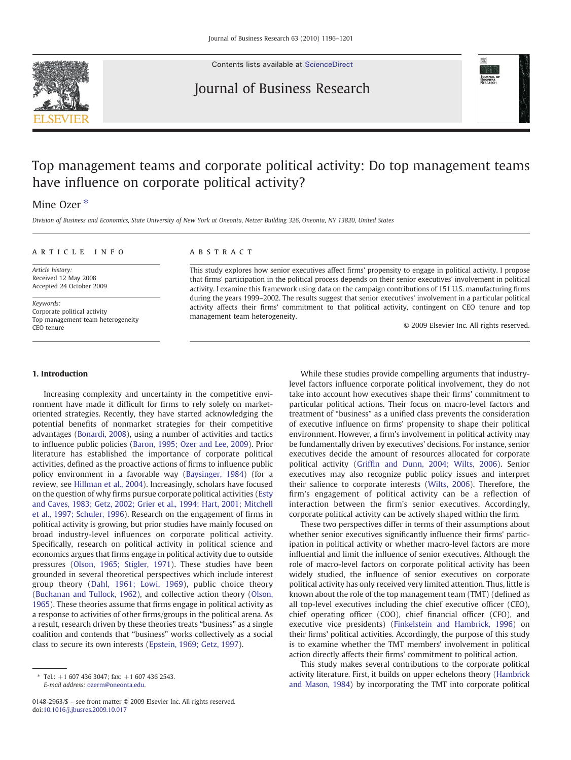

Contents lists available at [ScienceDirect](http://www.sciencedirect.com/science/journal/01482963)

# Journal of Business Research



# Top management teams and corporate political activity: Do top management teams have influence on corporate political activity?

## Mine Ozer<sup>\*</sup>

Division of Business and Economics, State University of New York at Oneonta, Netzer Building 326, Oneonta, NY 13820, United States

### article info abstract

Article history: Received 12 May 2008 Accepted 24 October 2009

Keywords: Corporate political activity Top management team heterogeneity CEO tenure

This study explores how senior executives affect firms' propensity to engage in political activity. I propose that firms' participation in the political process depends on their senior executives' involvement in political activity. I examine this framework using data on the campaign contributions of 151 U.S. manufacturing firms during the years 1999–2002. The results suggest that senior executives' involvement in a particular political activity affects their firms' commitment to that political activity, contingent on CEO tenure and top management team heterogeneity.

© 2009 Elsevier Inc. All rights reserved.

#### 1. Introduction

Increasing complexity and uncertainty in the competitive environment have made it difficult for firms to rely solely on marketoriented strategies. Recently, they have started acknowledging the potential benefits of nonmarket strategies for their competitive advantages ([Bonardi, 2008\)](#page--1-0), using a number of activities and tactics to influence public policies ([Baron, 1995; Ozer and Lee, 2009](#page--1-0)). Prior literature has established the importance of corporate political activities, defined as the proactive actions of firms to influence public policy environment in a favorable way [\(Baysinger, 1984](#page--1-0)) (for a review, see [Hillman et al., 2004](#page--1-0)). Increasingly, scholars have focused on the question of why firms pursue corporate political activities ([Esty](#page--1-0) [and Caves, 1983; Getz, 2002; Grier et al., 1994; Hart, 2001; Mitchell](#page--1-0) [et al., 1997; Schuler, 1996](#page--1-0)). Research on the engagement of firms in political activity is growing, but prior studies have mainly focused on broad industry-level influences on corporate political activity. Specifically, research on political activity in political science and economics argues that firms engage in political activity due to outside pressures ([Olson, 1965; Stigler, 1971](#page--1-0)). These studies have been grounded in several theoretical perspectives which include interest group theory ([Dahl, 1961; Lowi, 1969](#page--1-0)), public choice theory [\(Buchanan and Tullock, 1962\)](#page--1-0), and collective action theory [\(Olson,](#page--1-0) [1965\)](#page--1-0). These theories assume that firms engage in political activity as a response to activities of other firms/groups in the political arena. As a result, research driven by these theories treats "business" as a single coalition and contends that "business" works collectively as a social class to secure its own interests ([Epstein, 1969; Getz, 1997\)](#page--1-0).

While these studies provide compelling arguments that industrylevel factors influence corporate political involvement, they do not take into account how executives shape their firms' commitment to particular political actions. Their focus on macro-level factors and treatment of "business" as a unified class prevents the consideration of executive influence on firms' propensity to shape their political environment. However, a firm's involvement in political activity may be fundamentally driven by executives' decisions. For instance, senior executives decide the amount of resources allocated for corporate political activity (Griffi[n and Dunn, 2004; Wilts, 2006\)](#page--1-0). Senior executives may also recognize public policy issues and interpret their salience to corporate interests ([Wilts, 2006](#page--1-0)). Therefore, the firm's engagement of political activity can be a reflection of interaction between the firm's senior executives. Accordingly, corporate political activity can be actively shaped within the firm.

These two perspectives differ in terms of their assumptions about whether senior executives significantly influence their firms' participation in political activity or whether macro-level factors are more influential and limit the influence of senior executives. Although the role of macro-level factors on corporate political activity has been widely studied, the influence of senior executives on corporate political activity has only received very limited attention. Thus, little is known about the role of the top management team (TMT) (defined as all top-level executives including the chief executive officer (CEO), chief operating officer (COO), chief financial officer (CFO), and executive vice presidents) [\(Finkelstein and Hambrick, 1996\)](#page--1-0) on their firms' political activities. Accordingly, the purpose of this study is to examine whether the TMT members' involvement in political action directly affects their firms' commitment to political action.

This study makes several contributions to the corporate political activity literature. First, it builds on upper echelons theory [\(Hambrick](#page--1-0) [and Mason, 1984\)](#page--1-0) by incorporating the TMT into corporate political

 $*$  Tel.:  $+1$  607 436 3047; fax:  $+1$  607 436 2543. E-mail address: [ozerm@oneonta.edu.](mailto:ozerm@oneonta.edu)

<sup>0148-2963/\$</sup> – see front matter © 2009 Elsevier Inc. All rights reserved. doi[:10.1016/j.jbusres.2009.10.017](http://dx.doi.org/10.1016/j.jbusres.2009.10.017)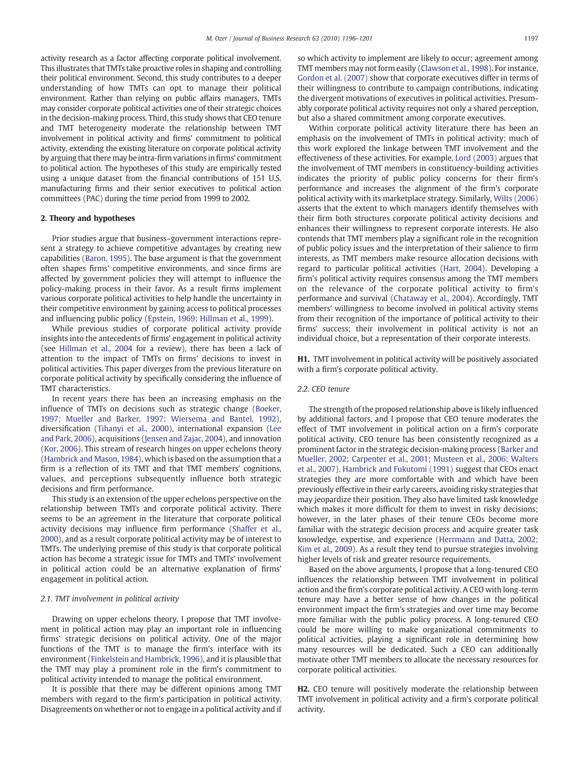activity research as a factor affecting corporate political involvement. This illustrates that TMTs take proactive roles in shaping and controlling their political environment. Second, this study contributes to a deeper understanding of how TMTs can opt to manage their political environment. Rather than relying on public affairs managers, TMTs may consider corporate political activities one of their strategic choices in the decision-making process. Third, this study shows that CEO tenure and TMT heterogeneity moderate the relationship between TMT involvement in political activity and firms' commitment to political activity, extending the existing literature on corporate political activity by arguing that there may be intra-firm variations in firms' commitment to political action. The hypotheses of this study are empirically tested using a unique dataset from the financial contributions of 151 U.S. manufacturing firms and their senior executives to political action committees (PAC) during the time period from 1999 to 2002.

#### 2. Theory and hypotheses

Prior studies argue that business–government interactions represent a strategy to achieve competitive advantages by creating new capabilities ([Baron, 1995](#page--1-0)). The base argument is that the government often shapes firms' competitive environments, and since firms are affected by government policies they will attempt to influence the policy-making process in their favor. As a result firms implement various corporate political activities to help handle the uncertainty in their competitive environment by gaining access to political processes and influencing public policy [\(Epstein, 1969; Hillman et al., 1999](#page--1-0)).

While previous studies of corporate political activity provide insights into the antecedents of firms' engagement in political activity (see [Hillman et al., 2004](#page--1-0) for a review), there has been a lack of attention to the impact of TMTs on firms' decisions to invest in political activities. This paper diverges from the previous literature on corporate political activity by specifically considering the influence of TMT characteristics.

In recent years there has been an increasing emphasis on the influence of TMTs on decisions such as strategic change ([Boeker,](#page--1-0) [1997; Mueller and Barker, 1997; Wiersema and Bantel, 1992](#page--1-0)), diversification ([Tihanyi et al., 2000](#page--1-0)), international expansion [\(Lee](#page--1-0) [and Park, 2006\)](#page--1-0), acquisitions [\(Jensen and Zajac, 2004](#page--1-0)), and innovation [\(Kor, 2006](#page--1-0)). This stream of research hinges on upper echelons theory [\(Hambrick and Mason, 1984](#page--1-0)), which is based on the assumption that a firm is a reflection of its TMT and that TMT members' cognitions, values, and perceptions subsequently influence both strategic decisions and firm performance.

This study is an extension of the upper echelons perspective on the relationship between TMTs and corporate political activity. There seems to be an agreement in the literature that corporate political activity decisions may influence firm performance ([Shaffer et al.,](#page--1-0) [2000\)](#page--1-0), and as a result corporate political activity may be of interest to TMTs. The underlying premise of this study is that corporate political action has become a strategic issue for TMTs and TMTs' involvement in political action could be an alternative explanation of firms' engagement in political action.

#### 2.1. TMT involvement in political activity

Drawing on upper echelons theory, I propose that TMT involvement in political action may play an important role in influencing firms' strategic decisions on political activity. One of the major functions of the TMT is to manage the firm's interface with its environment ([Finkelstein and Hambrick, 1996](#page--1-0)), and it is plausible that the TMT may play a prominent role in the firm's commitment to political activity intended to manage the political environment.

It is possible that there may be different opinions among TMT members with regard to the firm's participation in political activity. Disagreements on whether or not to engage in a political activity and if so which activity to implement are likely to occur; agreement among TMT members may not form easily [\(Clawson et al., 1998\)](#page--1-0). For instance, [Gordon et al. \(2007\)](#page--1-0) show that corporate executives differ in terms of their willingness to contribute to campaign contributions, indicating the divergent motivations of executives in political activities. Presumably corporate political activity requires not only a shared perception, but also a shared commitment among corporate executives.

Within corporate political activity literature there has been an emphasis on the involvement of TMTs in political activity; much of this work explored the linkage between TMT involvement and the effectiveness of these activities. For example, [Lord \(2003\)](#page--1-0) argues that the involvement of TMT members in constituency-building activities indicates the priority of public policy concerns for their firm's performance and increases the alignment of the firm's corporate political activity with its marketplace strategy. Similarly, [Wilts \(2006\)](#page--1-0) asserts that the extent to which managers identify themselves with their firm both structures corporate political activity decisions and enhances their willingness to represent corporate interests. He also contends that TMT members play a significant role in the recognition of public policy issues and the interpretation of their salience to firm interests, as TMT members make resource allocation decisions with regard to particular political activities ([Hart, 2004\)](#page--1-0). Developing a firm's political activity requires consensus among the TMT members on the relevance of the corporate political activity to firm's performance and survival ([Chataway et al., 2004\)](#page--1-0). Accordingly, TMT members' willingness to become involved in political activity stems from their recognition of the importance of political activity to their firms' success; their involvement in political activity is not an individual choice, but a representation of their corporate interests.

H1. TMT involvement in political activity will be positively associated with a firm's corporate political activity.

#### 2.2. CEO tenure

The strength of the proposed relationship above is likely influenced by additional factors, and I propose that CEO tenure moderates the effect of TMT involvement in political action on a firm's corporate political activity. CEO tenure has been consistently recognized as a prominent factor in the strategic decision-making process ([Barker and](#page--1-0) [Mueller, 2002; Carpenter et al., 2001; Musteen et al., 2006; Walters](#page--1-0) [et al., 2007](#page--1-0)). [Hambrick and Fukutomi \(1991\)](#page--1-0) suggest that CEOs enact strategies they are more comfortable with and which have been previously effective in their early careers, avoiding risky strategies that may jeopardize their position. They also have limited task knowledge which makes it more difficult for them to invest in risky decisions: however, in the later phases of their tenure CEOs become more familiar with the strategic decision process and acquire greater task knowledge, expertise, and experience [\(Herrmann and Datta, 2002;](#page--1-0) [Kim et al., 2009\)](#page--1-0). As a result they tend to pursue strategies involving higher levels of risk and greater resource requirements.

Based on the above arguments, I propose that a long-tenured CEO influences the relationship between TMT involvement in political action and the firm's corporate political activity. A CEO with long-term tenure may have a better sense of how changes in the political environment impact the firm's strategies and over time may become more familiar with the public policy process. A long-tenured CEO could be more willing to make organizational commitments to political activities, playing a significant role in determining how many resources will be dedicated. Such a CEO can additionally motivate other TMT members to allocate the necessary resources for corporate political activities.

H2. CEO tenure will positively moderate the relationship between TMT involvement in political activity and a firm's corporate political activity.